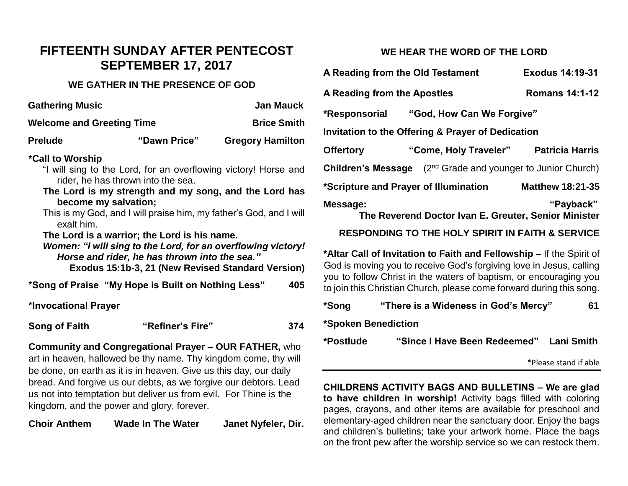## **FIFTEENTH SUNDAY AFTER PENTECOST SEPTEMBER 17, 2017**

## **WE GATHER IN THE PRESENCE OF GOD**

| <b>Gathering Music</b>                                                                                                                                                                                                                                                                                                                                                                                                                                                                                               |                  | <b>Jan Mauck</b>        |  |  |  |
|----------------------------------------------------------------------------------------------------------------------------------------------------------------------------------------------------------------------------------------------------------------------------------------------------------------------------------------------------------------------------------------------------------------------------------------------------------------------------------------------------------------------|------------------|-------------------------|--|--|--|
| <b>Welcome and Greeting Time</b>                                                                                                                                                                                                                                                                                                                                                                                                                                                                                     |                  | <b>Brice Smith</b>      |  |  |  |
| <b>Prelude</b>                                                                                                                                                                                                                                                                                                                                                                                                                                                                                                       | "Dawn Price"     | <b>Gregory Hamilton</b> |  |  |  |
| *Call to Worship<br>"I will sing to the Lord, for an overflowing victory! Horse and<br>rider, he has thrown into the sea.<br>The Lord is my strength and my song, and the Lord has<br>become my salvation;<br>This is my God, and I will praise him, my father's God, and I will<br>exalt him.<br>The Lord is a warrior; the Lord is his name.<br>Women: "I will sing to the Lord, for an overflowing victory!<br>Horse and rider, he has thrown into the sea."<br>Exodus 15:1b-3, 21 (New Revised Standard Version) |                  |                         |  |  |  |
| *Song of Praise "My Hope is Built on Nothing Less"                                                                                                                                                                                                                                                                                                                                                                                                                                                                   |                  | 405                     |  |  |  |
| *Invocational Prayer                                                                                                                                                                                                                                                                                                                                                                                                                                                                                                 |                  |                         |  |  |  |
| Song of Faith                                                                                                                                                                                                                                                                                                                                                                                                                                                                                                        | "Refiner's Fire" | 374                     |  |  |  |

**Community and Congregational Prayer – OUR FATHER,** who art in heaven, hallowed be thy name. Thy kingdom come, thy will be done, on earth as it is in heaven. Give us this day, our daily bread. And forgive us our debts, as we forgive our debtors. Lead us not into temptation but deliver us from evil. For Thine is the kingdom, and the power and glory, forever.

**Choir Anthem Wade In The Water Janet Nyfeler, Dir.**

## **WE HEAR THE WORD OF THE LORD**

| A Reading from the Old Testament                  |                                                                         | <b>Exodus 14:19-31</b>  |  |  |
|---------------------------------------------------|-------------------------------------------------------------------------|-------------------------|--|--|
| <b>A Reading from the Apostles</b>                |                                                                         | <b>Romans 14:1-12</b>   |  |  |
|                                                   |                                                                         |                         |  |  |
| Invitation to the Offering & Prayer of Dedication |                                                                         |                         |  |  |
| <b>Offertory</b>                                  | "Come, Holy Traveler"                                                   | <b>Patricia Harris</b>  |  |  |
|                                                   | <b>Children's Message</b> $(2^{nd}$ Grade and younger to Junior Church) |                         |  |  |
| *Scripture and Prayer of Illumination             |                                                                         | <b>Matthew 18:21-35</b> |  |  |
| Message:                                          | The Reverend Doctor Ivan E. Greuter, Senior Minister                    | "Payback"               |  |  |

## **RESPONDING TO THE HOLY SPIRIT IN FAITH & SERVICE**

**\*Altar Call of Invitation to Faith and Fellowship –** If the Spirit of God is moving you to receive God's forgiving love in Jesus, calling you to follow Christ in the waters of baptism, or encouraging you to join this Christian Church, please come forward during this song.

| *Song               | "There is a Wideness in God's Mercy"    | 61 |  |  |
|---------------------|-----------------------------------------|----|--|--|
| *Spoken Benediction |                                         |    |  |  |
| *Postlude           | "Since I Have Been Redeemed" Lani Smith |    |  |  |

\*Please stand if able

**CHILDRENS ACTIVITY BAGS AND BULLETINS – We are glad to have children in worship!** Activity bags filled with coloring pages, crayons, and other items are available for preschool and elementary-aged children near the sanctuary door. Enjoy the bags and children's bulletins; take your artwork home. Place the bags on the front pew after the worship service so we can restock them.